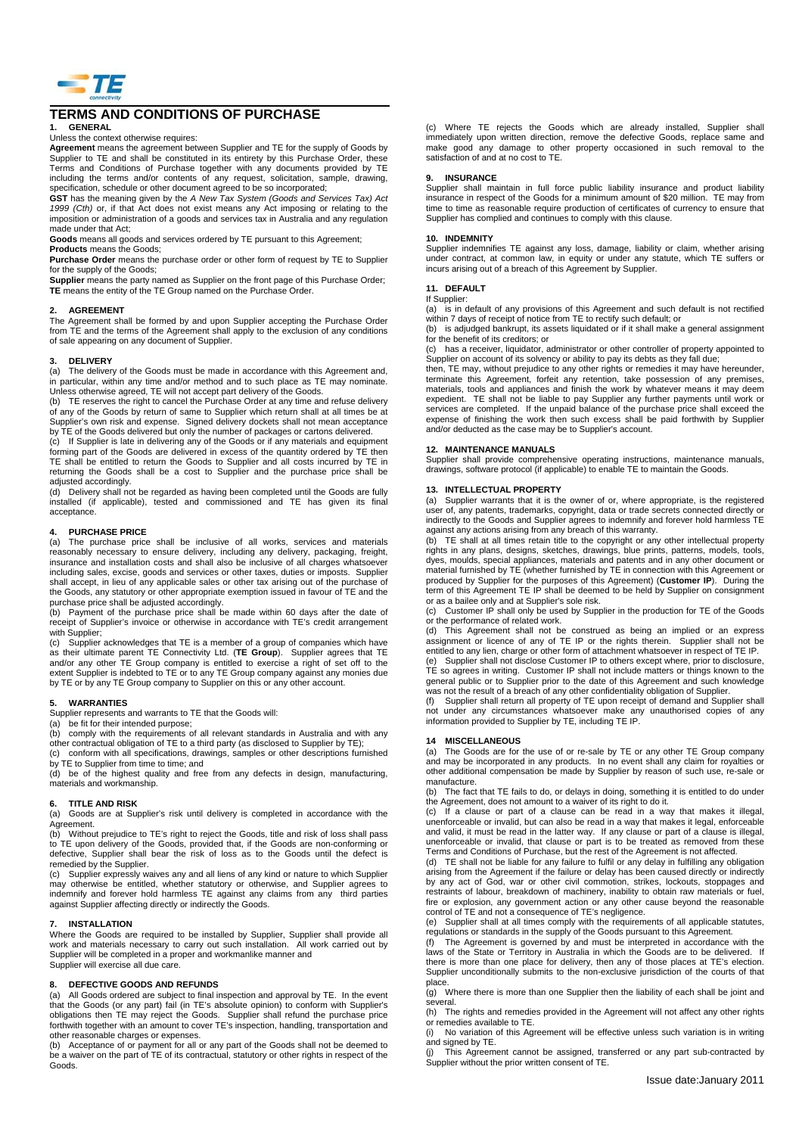

# **TERMS AND CONDITIONS OF PURCHASE**

# **1. GENERAL**

Unless the context otherwise requires:

**Agreement** means the agreement between Supplier and TE for the supply of Goods by Supplier to TE and shall be constituted in its entirety by this Purchase Order, these Terms and Conditions of Purchase together with any documents provided by TE including the terms and/or contents of any request, solicitation, sample, drawing, specification, schedule or other document agreed to be so incorporated;

GST has the meaning given by the A New Tax System (Goods and Services Tax) Act<br>1999 (Cth) or, if that Act does not exist means any Act imposing or relating to the<br>imposition or administration of a goods and services tax in made under that Act:

**Goods** means all goods and services ordered by TE pursuant to this Agreement;

# **Products** means the Goods;

**Purchase Order** means the purchase order or other form of request by TE to Supplier for the supply of the Goods;

**Supplier** means the party named as Supplier on the front page of this Purchase Order; **TE** means the entity of the TE Group named on the Purchase Order.

#### **2. AGREEMENT**

The Agreement shall be formed by and upon Supplier accepting the Purchase Order from TE and the terms of the Agreement shall apply to the exclusion of any conditions of sale appearing on any document of Supplier.

#### **3. DELIVERY**

(a) The delivery of the Goods must be made in accordance with this Agreement and, in particular, within any time and/or method and to such place as TE may nominate. Unless otherwise agreed, TE will not accept part delivery of the Goods.

(b) TE reserves the right to cancel the Purchase Order at any time and refuse delivery of any of the Goods by return of same to Supplier which return shall at all times be at Supplier's own risk and expense. Signed delivery dockets shall not mean acceptance by TE of the Goods delivered but only the number of packages or cartons delivered.

(c) If Supplier is late in delivering any of the Goods or if any materials and equipment forming part of the Goods are delivered in excess of the quantity ordered by TE then TE shall be entitled to return the Goods to Supplier and all costs incurred by TE in returning the Goods shall be a cost to Supplier and the purchase price shall be adjusted accordingly.

(d) Delivery shall not be regarded as having been completed until the Goods are fully installed (if applicable), tested and commissioned and TE has given its final acceptance.

#### **4. PURCHASE PRICE**

(a) The purchase price shall be inclusive of all works, services and materials reasonably necessary to ensure delivery, including any delivery, packaging, freight,<br>insurance and installation costs and shall also be inclusive of all charges whatsoever<br>including sales, excise, goods and services or oth shall accept, in lieu of any applicable sales or other tax arising out of the purchase of the Goods, any statutory or other appropriate exemption issued in favour of TE and the purchase price shall be adjusted accordingly.

(b) Payment of the purchase price shall be made within 60 days after the date of receipt of Supplier's invoice or otherwise in accordance with TE's credit arrangement with Supplier;<br>(c) Supplier

Supplier acknowledges that TE is a member of a group of companies which have as their ultimate parent TE Connectivity Ltd. (**TE Group**). Supplier agrees that TE and/or any other TE Group company is entitled to exercise a right of set off to the extent Supplier is indebted to TE or to any TE Group company against any monies due by TE or by any TE Group company to Supplier on this or any other account.

#### **5. WARRANTIES**

Supplier represents and warrants to TE that the Goods will:

(a) be fit for their intended purpose;

comply with the requirements of all relevant standards in Australia and with any other contractual obligation of TE to a third party (as disclosed to Supplier by TE); (c) conform with all specifications, drawings, samples or other descriptions furnished

by TE to Supplier from time to time; and (d) be of the highest quality and free from any defects in design, manufacturing,

materials and workmanship.

# **6. TITLE AND RISK**

Goods are at Supplier's risk until delivery is completed in accordance with the Agreement.<br>(b) Withou

Without preiudice to TE's right to reject the Goods, title and risk of loss shall pass to TE upon delivery of the Goods, provided that, if the Goods are non-conforming or defective, Supplier shall bear the risk of loss as to the Goods until the defect is remedied by the Supplier.

(c) Supplier expressly waives any and all liens of any kind or nature to which Supplier may otherwise be entitled, whether statutory or otherwise, and Supplier agrees to indemnify and forever hold harmless TE against any claims from any third parties against Supplier affecting directly or indirectly the Goods.

#### **7. INSTALLATION**

Where the Goods are required to be installed by Supplier, Supplier shall provide all work and materials necessary to carry out such installation. All work carried out by Supplier will be completed in a proper and workmanlike manner and Supplier will exercise all due care.

#### **8. DEFECTIVE GOODS AND REFUNDS**

(a) All Goods ordered are subject to final inspection and approval by TE. In the event that the Goods (or any part) fail (in TE's absolute opinion) to conform with Supplier's<br>obligations then TE may reject the Goods. Supplier shall refund the purchase price<br>forthwith together with an amount to cover TE's in other reasonable charges or expenses.

(b) Acceptance of or payment for all or any part of the Goods shall not be deemed to be a waiver on the part of TE of its contractual, statutory or other rights in respect of the Goods.

(c) Where TE rejects the Goods which are already installed, Supplier shall immediately upon written direction, remove the defective Goods, replace same and make good any damage to other property occasioned in such removal to the satisfaction of and at no cost to TE.

#### **9. INSURANCE**

Supplier shall maintain in full force public liability insurance and product liability insurance in respect of the Goods for a minimum amount of \$20 million. TE may from time to time as reasonable require production of certificates of currency to ensure that Supplier has complied and continues to comply with this clause.

#### **10. INDEMNITY**

Supplier indemnifies TE against any loss, damage, liability or claim, whether arising under contract, at common law, in equity or under any statute, which TE suffers or incurs arising out of a breach of this Agreement by Supplier.

#### **11. DEFAULT**

### If Supplier:

(a) is in default of any provisions of this Agreement and such default is not rectified within 7 days of receipt of notice from TE to rectify such default; or

(b) is adjudged bankrupt, its assets liquidated or if it shall make a general assignment for the benefit of its creditors; or (c) has a receiver, liquidator, administrator or other controller of property appointed to

Supplier on account of its solvency or ability to pay its debts as they fall due;

then, TE may, without prejudice to any other rights or remedies it may have hereunder, terminate this Agreement, forfeit any retention, take possession of any premises, materials, tools and appliances and finish the work by whatever means it may deem expedient. TE shall not be liable to pay Supplier any further payments until work or services are completed. If the unpaid balance of the purchase price shall exceed the expense of finishing the work then such excess shall be paid forthwith by Supplier and/or deducted as the case may be to Supplier's account.

#### **12. MAINTENANCE MANUALS**

Supplier shall provide comprehensive operating instructions, maintenance manuals, drawings, software protocol (if applicable) to enable TE to maintain the Goods.

#### **13. INTELLECTUAL PROPERTY**

(a) Supplier warrants that it is the owner of or, where appropriate, is the registered user of, any patents, trademarks, copyright, data or trade secrets connected directly or indirectly to the Goods and Supplier agrees to indemnify and forever hold harmless TE against any actions arising from any breach of this warranty.

(b) TE shall at all times retain title to the copyright or any other intellectual property rights in any plans, designs, sketches, drawings, blue prints, patterns, models, tools, dyes, moulds, special appliances, materials and patents and in any other document or material furnished by TE (whether furnished by TE in connection with this Agreement or produced by Supplier for the purposes of this Agreement) (**Customer IP**). During the term of this Agreement TE IP shall be deemed to be held by Supplier on consignment

or as a bailee only and at Supplier's sole risk. (c) Customer IP shall only be used by Supplier in the production for TE of the Goods or the performance of related work.

(d) This Agreement shall not be construed as being an implied or an express<br>assignment or licence of any of TE IP or the rights therein. Supplier shall not be<br>entitled to any lien, charge or other form of attachment whatso

(e) Supplier shall not disclose Customer IP to others except where, prior to disclosure, TE so agrees in writing. Customer IP shall not include matters or things known to the general public or to Supplier prior to the date of this Agreement and such knowledge was not the result of a breach of any other confidentiality obligation of Supplier.

(f) Supplier shall return all property of TE upon receipt of demand and Supplier shall not under any circumstances whatsoever make any unauthorised copies of any information provided to Supplier by TE, including TE IP.

#### **14 MISCELLANEOUS**

(a) The Goods are for the use of or re-sale by TE or any other TE Group company and may be incorporated in any products. In no event shall any claim for royalties or other additional compensation be made by Supplier by reason of such use, re-sale or manufacture.<br>(b) The fact

(b) The fact that TE fails to do, or delays in doing, something it is entitled to do under the Agreement, does not amount to a waiver of its right to do it.

(c) If a clause or part of a clause can be read in a way that makes it illegal, unenforceable or invalid, but can also be read in a way that makes it legal, enforceable and valid, it must be read in the latter way. If any clause or part of a clause is illegal, unenforceable or invalid, that clause or part is to be treated as removed from these Terms and Conditions of Purchase, but the rest of the Agreement is not affected.

TE shall not be liable for any failure to fulfil or any delay in fulfilling any obligation arising from the Agreement if the failure or delay has been caused directly or indirectly by any act of God, war or other civil commotion, strikes, lockouts, stoppages and restraints of labour, breakdown of machinery, inability to obtain raw materials or fuel, fire or explosion, any government action or any other cause beyond the reasonable control of TE and not a consequence of TE's negligence.

(e) Supplier shall at all times comply with the requirements of all applicable statutes, regulations or standards in the supply of the Goods pursuant to this Agreement.<br>(f) The Agreement is governed by and must be interpre

laws of the State or Territory in Australia in which the Goods are to be delivered. If there is more than one place for delivery, then any of those places at TE's election. Supplier unconditionally submits to the non-exclusive jurisdiction of the courts of that place.

(g) Where there is more than one Supplier then the liability of each shall be joint and several.

(h) The rights and remedies provided in the Agreement will not affect any other rights

or remedies available to TE.<br>(i) No variation of this Ag No variation of this Agreement will be effective unless such variation is in writing and signed by TE.

(j) This Agreement cannot be assigned, transferred or any part sub-contracted by Supplier without the prior written consent of TE.